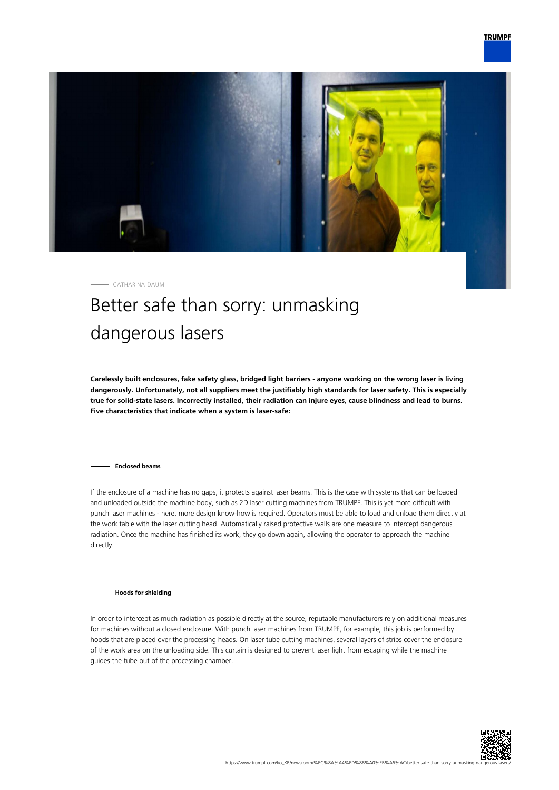

CATHARINA DAUM

## Better safe than sorry: unmasking dangerous lasers

**Carelessly built enclosures, fake safety glass, bridged light barriers - anyone working on the wrong laser is living dangerously. Unfortunately, not all suppliers meet the justifiably high standards for laser safety. This is especially true for solid-state lasers. Incorrectly installed, their radiation can injure eyes, cause blindness and lead to burns. Five characteristics that indicate when a system is laser-safe:**

**Enclosed beams**

If the enclosure of a machine has no gaps, it protects against laser beams. This is the case with systems that can be loaded and unloaded outside the machine body, such as 2D laser cutting machines from TRUMPF. This is yet more difficult with punch laser machines - here, more design know-how is required. Operators must be able to load and unload them directly at the work table with the laser cutting head. Automatically raised protective walls are one measure to intercept dangerous radiation. Once the machine has finished its work, they go down again, allowing the operator to approach the machine directly.

**Hoods for shielding**

In order to intercept as much radiation as possible directly at the source, reputable manufacturers rely on additional measures for machines without a closed enclosure. With punch laser machines from TRUMPF, for example, this job is performed by hoods that are placed over the processing heads. On laser tube cutting machines, several layers of strips cover the enclosure of the work area on the unloading side. This curtain is designed to prevent laser light from escaping while the machine guides the tube out of the processing chamber.

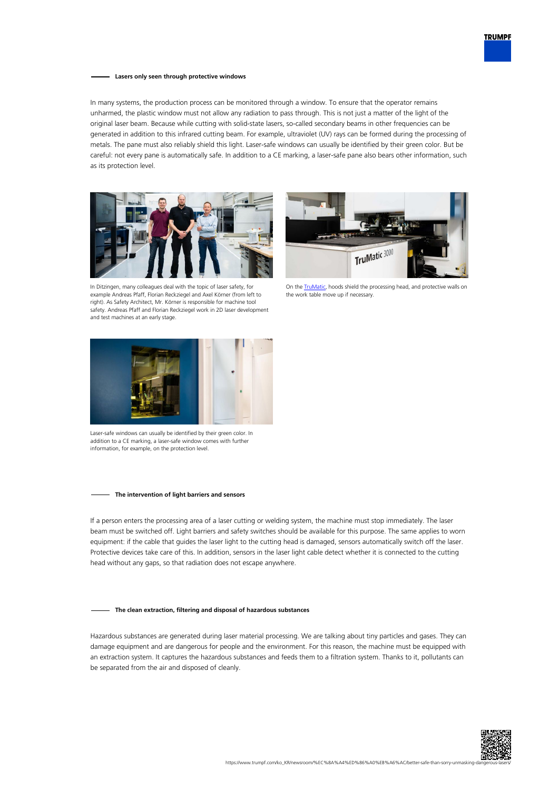

## **Lasers only seen through protective windows**

In many systems, the production process can be monitored through a window. To ensure that the operator remains unharmed, the plastic window must not allow any radiation to pass through. This is not just a matter of the light of the original laser beam. Because while cutting with solid-state lasers, so-called secondary beams in other frequencies can be generated in addition to this infrared cutting beam. For example, ultraviolet (UV) rays can be formed during the processing of metals. The pane must also reliably shield this light. Laser-safe windows can usually be identified by their green color. But be careful: not every pane is automatically safe. In addition to a CE marking, a laser-safe pane also bears other information, such as its protection level.





In Ditzingen, many colleagues deal with the topic of laser safety, for example Andreas Pfaff, Florian Reckziegel and Axel Körner (from left to right). As Safety Architect, Mr. Körner is responsible for machine tool safety. Andreas Pfaff and Florian Reckziegel work in 2D laser development and test machines at an early stage.

On the **TruMatic**, hoods shield the processing head, and protective walls on the work table move up if necessary.



Laser-safe windows can usually be identified by their green color. In addition to a CE marking, a laser-safe window comes with further information, for example, on the protection level.

## **The intervention of light barriers and sensors**

If a person enters the processing area of a laser cutting or welding system, the machine must stop immediately. The laser beam must be switched off. Light barriers and safety switches should be available for this purpose. The same applies to worn equipment: if the cable that guides the laser light to the cutting head is damaged, sensors automatically switch off the laser. Protective devices take care of this. In addition, sensors in the laser light cable detect whether it is connected to the cutting head without any gaps, so that radiation does not escape anywhere.

## **The clean extraction, filtering and disposal of hazardous substances**

Hazardous substances are generated during laser material processing. We are talking about tiny particles and gases. They can damage equipment and are dangerous for people and the environment. For this reason, the machine must be equipped with an extraction system. It captures the hazardous substances and feeds them to a filtration system. Thanks to it, pollutants can be separated from the air and disposed of cleanly.